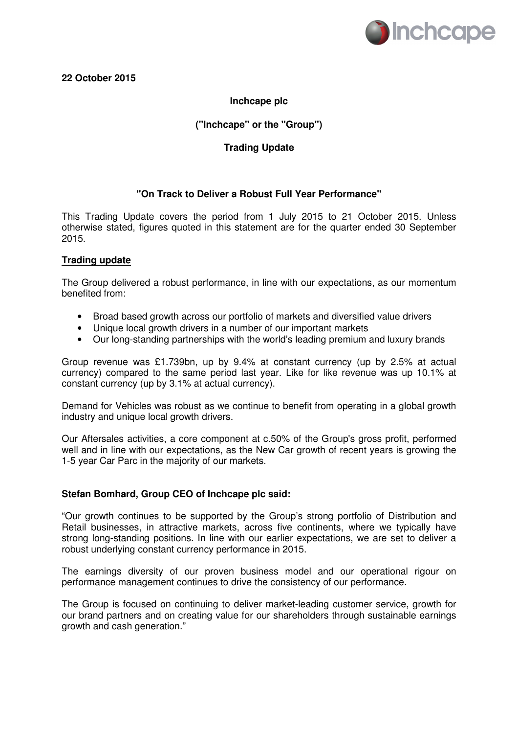

# **22 October 2015**

# **Inchcape plc**

# **("Inchcape" or the "Group")**

## **Trading Update**

## **"On Track to Deliver a Robust Full Year Performance"**

This Trading Update covers the period from 1 July 2015 to 21 October 2015. Unless otherwise stated, figures quoted in this statement are for the quarter ended 30 September 2015.

### **Trading update**

The Group delivered a robust performance, in line with our expectations, as our momentum benefited from:

- Broad based growth across our portfolio of markets and diversified value drivers
- Unique local growth drivers in a number of our important markets
- Our long-standing partnerships with the world's leading premium and luxury brands

Group revenue was £1.739bn, up by 9.4% at constant currency (up by 2.5% at actual currency) compared to the same period last year. Like for like revenue was up 10.1% at constant currency (up by 3.1% at actual currency).

Demand for Vehicles was robust as we continue to benefit from operating in a global growth industry and unique local growth drivers.

Our Aftersales activities, a core component at c.50% of the Group's gross profit, performed well and in line with our expectations, as the New Car growth of recent years is growing the 1-5 year Car Parc in the majority of our markets.

#### **Stefan Bomhard, Group CEO of Inchcape plc said:**

"Our growth continues to be supported by the Group's strong portfolio of Distribution and Retail businesses, in attractive markets, across five continents, where we typically have strong long-standing positions. In line with our earlier expectations, we are set to deliver a robust underlying constant currency performance in 2015.

The earnings diversity of our proven business model and our operational rigour on performance management continues to drive the consistency of our performance.

The Group is focused on continuing to deliver market-leading customer service, growth for our brand partners and on creating value for our shareholders through sustainable earnings growth and cash generation."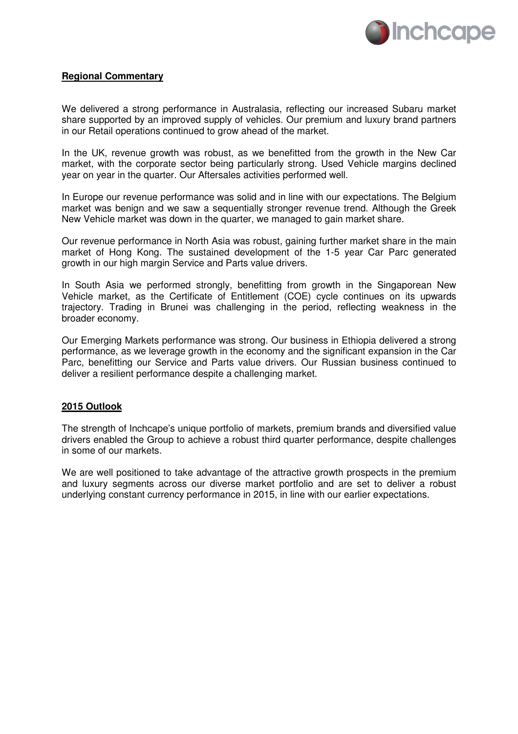

### **Regional Commentary**

We delivered a strong performance in Australasia, reflecting our increased Subaru market share supported by an improved supply of vehicles. Our premium and luxury brand partners in our Retail operations continued to grow ahead of the market.

In the UK, revenue growth was robust, as we benefitted from the growth in the New Car market, with the corporate sector being particularly strong. Used Vehicle margins declined year on year in the quarter. Our Aftersales activities performed well.

In Europe our revenue performance was solid and in line with our expectations. The Belgium market was benign and we saw a sequentially stronger revenue trend. Although the Greek New Vehicle market was down in the quarter, we managed to gain market share.

Our revenue performance in North Asia was robust, gaining further market share in the main market of Hong Kong. The sustained development of the 1-5 year Car Parc generated growth in our high margin Service and Parts value drivers.

In South Asia we performed strongly, benefitting from growth in the Singaporean New Vehicle market, as the Certificate of Entitlement (COE) cycle continues on its upwards trajectory. Trading in Brunei was challenging in the period, reflecting weakness in the broader economy.

Our Emerging Markets performance was strong. Our business in Ethiopia delivered a strong performance, as we leverage growth in the economy and the significant expansion in the Car Parc, benefitting our Service and Parts value drivers. Our Russian business continued to deliver a resilient performance despite a challenging market.

#### **2015 Outlook**

The strength of Inchcape's unique portfolio of markets, premium brands and diversified value drivers enabled the Group to achieve a robust third quarter performance, despite challenges in some of our markets.

We are well positioned to take advantage of the attractive growth prospects in the premium and luxury segments across our diverse market portfolio and are set to deliver a robust underlying constant currency performance in 2015, in line with our earlier expectations.